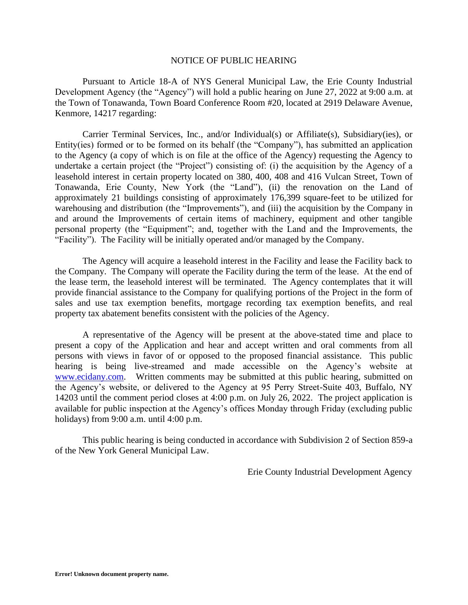## NOTICE OF PUBLIC HEARING

Pursuant to Article 18-A of NYS General Municipal Law, the Erie County Industrial Development Agency (the "Agency") will hold a public hearing on June 27, 2022 at 9:00 a.m. at the Town of Tonawanda, Town Board Conference Room #20, located at 2919 Delaware Avenue, Kenmore, 14217 regarding:

Carrier Terminal Services, Inc., and/or Individual(s) or Affiliate(s), Subsidiary(ies), or Entity(ies) formed or to be formed on its behalf (the "Company"), has submitted an application to the Agency (a copy of which is on file at the office of the Agency) requesting the Agency to undertake a certain project (the "Project") consisting of: (i) the acquisition by the Agency of a leasehold interest in certain property located on 380, 400, 408 and 416 Vulcan Street, Town of Tonawanda, Erie County, New York (the "Land"), (ii) the renovation on the Land of approximately 21 buildings consisting of approximately 176,399 square-feet to be utilized for warehousing and distribution (the "Improvements"), and (iii) the acquisition by the Company in and around the Improvements of certain items of machinery, equipment and other tangible personal property (the "Equipment"; and, together with the Land and the Improvements, the "Facility"). The Facility will be initially operated and/or managed by the Company.

The Agency will acquire a leasehold interest in the Facility and lease the Facility back to the Company. The Company will operate the Facility during the term of the lease. At the end of the lease term, the leasehold interest will be terminated. The Agency contemplates that it will provide financial assistance to the Company for qualifying portions of the Project in the form of sales and use tax exemption benefits, mortgage recording tax exemption benefits, and real property tax abatement benefits consistent with the policies of the Agency.

A representative of the Agency will be present at the above-stated time and place to present a copy of the Application and hear and accept written and oral comments from all persons with views in favor of or opposed to the proposed financial assistance. This public hearing is being live-streamed and made accessible on the Agency's website at [www.ecidany.com.](http://www.ecidany.com/) Written comments may be submitted at this public hearing, submitted on the Agency's website, or delivered to the Agency at 95 Perry Street-Suite 403, Buffalo, NY 14203 until the comment period closes at 4:00 p.m. on July 26, 2022. The project application is available for public inspection at the Agency's offices Monday through Friday (excluding public holidays) from 9:00 a.m. until 4:00 p.m.

This public hearing is being conducted in accordance with Subdivision 2 of Section 859-a of the New York General Municipal Law.

Erie County Industrial Development Agency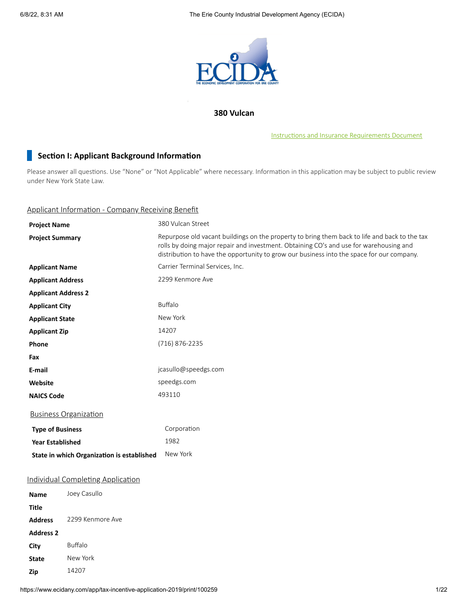

## **380 Vulcan**

Instructions and Insurance [Requirements](https://www.ecidany.com/documents/tax_incentives_app/Instructions_and_Insurance_Req.PDF) Document

## **Section I: Applicant Background Information**

Please answer all questions. Use "None" or "Not Applicable" where necessary. Information in this application may be subject to public review under New York State Law.

## Applicant Information - Company Receiving Benefit

| <b>Project Name</b>        |                                            | 380 Vulcan Street                                                                                                                                                                                                                                                                    |  |  |  |
|----------------------------|--------------------------------------------|--------------------------------------------------------------------------------------------------------------------------------------------------------------------------------------------------------------------------------------------------------------------------------------|--|--|--|
| <b>Project Summary</b>     |                                            | Repurpose old vacant buildings on the property to bring them back to life and back to the tax<br>rolls by doing major repair and investment. Obtaining CO's and use for warehousing and<br>distribution to have the opportunity to grow our business into the space for our company. |  |  |  |
| <b>Applicant Name</b>      |                                            | Carrier Terminal Services, Inc.                                                                                                                                                                                                                                                      |  |  |  |
| <b>Applicant Address</b>   |                                            | 2299 Kenmore Ave                                                                                                                                                                                                                                                                     |  |  |  |
| <b>Applicant Address 2</b> |                                            |                                                                                                                                                                                                                                                                                      |  |  |  |
| <b>Applicant City</b>      |                                            | <b>Buffalo</b>                                                                                                                                                                                                                                                                       |  |  |  |
| <b>Applicant State</b>     |                                            | New York                                                                                                                                                                                                                                                                             |  |  |  |
| <b>Applicant Zip</b>       |                                            | 14207                                                                                                                                                                                                                                                                                |  |  |  |
| Phone                      |                                            | (716) 876-2235                                                                                                                                                                                                                                                                       |  |  |  |
| Fax                        |                                            |                                                                                                                                                                                                                                                                                      |  |  |  |
| E-mail                     |                                            | jcasullo@speedgs.com                                                                                                                                                                                                                                                                 |  |  |  |
| Website                    |                                            | speedgs.com                                                                                                                                                                                                                                                                          |  |  |  |
| <b>NAICS Code</b>          |                                            | 493110                                                                                                                                                                                                                                                                               |  |  |  |
|                            | <b>Business Organization</b>               |                                                                                                                                                                                                                                                                                      |  |  |  |
| <b>Type of Business</b>    |                                            | Corporation                                                                                                                                                                                                                                                                          |  |  |  |
| <b>Year Established</b>    |                                            | 1982                                                                                                                                                                                                                                                                                 |  |  |  |
|                            | State in which Organization is established | New York                                                                                                                                                                                                                                                                             |  |  |  |
|                            | <b>Individual Completing Application</b>   |                                                                                                                                                                                                                                                                                      |  |  |  |
| Name                       | Joey Casullo                               |                                                                                                                                                                                                                                                                                      |  |  |  |
| <b>Title</b>               |                                            |                                                                                                                                                                                                                                                                                      |  |  |  |
| <b>Address</b>             | 2299 Kenmore Ave                           |                                                                                                                                                                                                                                                                                      |  |  |  |
| <b>Address 2</b>           |                                            |                                                                                                                                                                                                                                                                                      |  |  |  |
| City                       | Buffalo                                    |                                                                                                                                                                                                                                                                                      |  |  |  |
| <b>State</b>               | New York                                   |                                                                                                                                                                                                                                                                                      |  |  |  |
| Zip                        | 14207                                      |                                                                                                                                                                                                                                                                                      |  |  |  |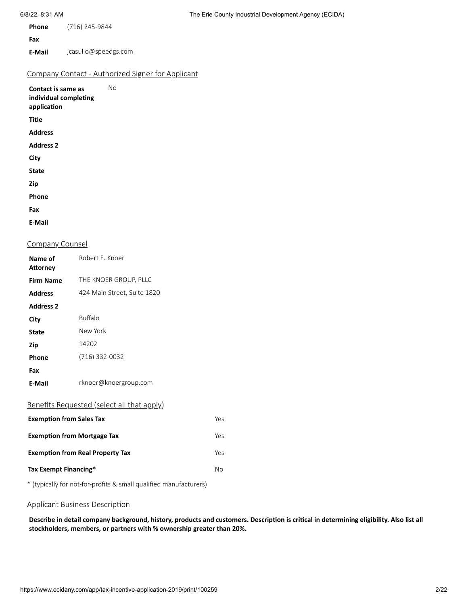| <b>Phone</b> | (716) 245-9844 |
|--------------|----------------|
| Fax          |                |

**E-Mail** jcasullo@speedgs.com

## Company Contact - Authorized Signer for Applicant

| Contact is same as<br>individual completing<br>application | Nο |
|------------------------------------------------------------|----|
| Title                                                      |    |
| <b>Address</b>                                             |    |
| <b>Address 2</b>                                           |    |
| City                                                       |    |
| State                                                      |    |
| Zip                                                        |    |
| Phone                                                      |    |
| Fax                                                        |    |
| E-Mail                                                     |    |

#### Company Counsel

| Name of<br>Attorney                            | Robert E. Knoer                                   |     |  |  |
|------------------------------------------------|---------------------------------------------------|-----|--|--|
| <b>Firm Name</b>                               | THE KNOER GROUP, PLLC                             |     |  |  |
| <b>Address</b>                                 | 424 Main Street, Suite 1820                       |     |  |  |
| <b>Address 2</b>                               |                                                   |     |  |  |
| City                                           | <b>Buffalo</b>                                    |     |  |  |
| <b>State</b>                                   | New York                                          |     |  |  |
| Zip                                            | 14202                                             |     |  |  |
| Phone                                          | (716) 332-0032                                    |     |  |  |
| Fax                                            |                                                   |     |  |  |
| <b>E-Mail</b>                                  | rknoer@knoergroup.com                             |     |  |  |
|                                                | <u>Benefits Requested (select all that apply)</u> |     |  |  |
| <b>Exemption from Sales Tax</b>                |                                                   | Yes |  |  |
| <b>Exemption from Mortgage Tax</b><br>Yes      |                                                   |     |  |  |
| <b>Exemption from Real Property Tax</b><br>Yes |                                                   |     |  |  |
| Tax Exempt Financing*<br>No                    |                                                   |     |  |  |

\* (typically for not-for-profits & small qualified manufacturers)

#### Applicant Business Description

Describe in detail company background, history, products and customers. Description is critical in determining eligibility. Also list all **stockholders, members, or partners with % ownership greater than 20%.**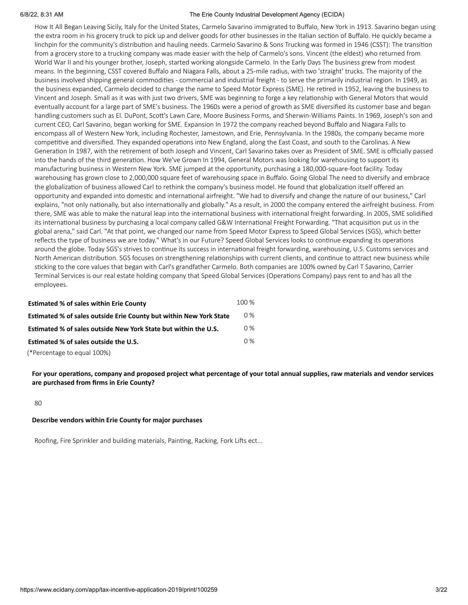How It All Began Leaving Sicily, Italy for the United States, Carmelo Savarino immigrated to Buffalo, New York in 1913. Savarino began using the extra room in his grocery truck to pick up and deliver goods for other businesses in the Italian section of Buffalo. He quickly became a linchpin for the community's distribution and hauling needs. Carmelo Savarino & Sons Trucking was formed in 1946 (CSST): The transition from a grocery store to a trucking company was made easier with the help of Carmelo's sons. Vincent (the eldest) who returned from World War II and his younger brother, Joseph, started working alongside Carmelo. In the Early Days The business grew from modest means. In the beginning, CSST covered Buffalo and Niagara Falls, about a 25-mile radius, with two 'straight' trucks. The majority of the business involved shipping general commodities - commercial and industrial freight - to serve the primarily industrial region. In 1949, as the business expanded, Carmelo decided to change the name to Speed Motor Express (SME). He retired in 1952, leaving the business to Vincent and Joseph. Small as it was with just two drivers, SME was beginning to forge a key relationship with General Motors that would eventually account for a large part of SME's business. The 1960s were a period of growth as SME diversified its customer base and began handling customers such as El. DuPont, Scott's Lawn Care, Moore Business Forms, and Sherwin-Williams Paints. In 1969, Joseph's son and current CEO, Carl Savarino, began working for SME. Expansion In 1972 the company reached beyond Buffalo and Niagara Falls to encompass all of Western New York, including Rochester, Jamestown, and Erie, Pennsylvania. In the 1980s, the company became more competitive and diversified. They expanded operations into New England, along the East Coast, and south to the Carolinas. A New Generation In 1987, with the retirement of both Joseph and Vincent, Carl Savarino takes over as President of SME. SME is officially passed into the hands of the third generation. How We've Grown In 1994, General Motors was looking for warehousing to support its manufacturing business in Western New York. SME jumped at the opportunity, purchasing a 180,000-square-foot facility. Today warehousing has grown close to 2,000,000 square feet of warehousing space in Buffalo. Going Global The need to diversify and embrace the globalization of business allowed Carl to rethink the company's business model. He found that globalization itself offered an opportunity and expanded into domestic and international airfreight. "We had to diversify and change the nature of our business," Carl explains, "not only nationally, but also internationally and globally." As a result, in 2000 the company entered the airfreight business. From there, SME was able to make the natural leap into the international business with international freight forwarding. In 2005, SME solidified its international business by purchasing a local company called G&W International Freight Forwarding. "That acquisition put us in the global arena," said Carl. "At that point, we changed our name from Speed Motor Express to Speed Global Services (SGS), which better reflects the type of business we are today." What's in our Future? Speed Global Services looks to continue expanding its operations around the globe. Today SGS's strives to continue its success in international freight forwarding, warehousing, U.S. Customs services and North American distribution. SGS focuses on strengthening relationships with current clients, and continue to attract new business while sticking to the core values that began with Carl's grandfather Carmelo. Both companies are 100% owned by Carl T Savarino, Carrier Terminal Services is our real estate holding company that Speed Global Services (Operations Company) pays rent to and has all the employees.

| <b>Estimated % of sales within Erie County</b>                            | 100 % |
|---------------------------------------------------------------------------|-------|
| <b>Estimated % of sales outside Erie County but within New York State</b> | $0\%$ |
| Estimated % of sales outside New York State but within the U.S.           | $0\%$ |
| Estimated % of sales outside the U.S.                                     | $0\%$ |
| (*Percentage to equal 100%)                                               |       |

For your operations, company and proposed project what percentage of your total annual supplies, raw materials and vendor services **are purchased from firms in Erie County?**

80

#### **Describe vendors within Erie County for major purchases**

Roofing, Fire Sprinkler and building materials, Painting, Racking, Fork Lifts ect...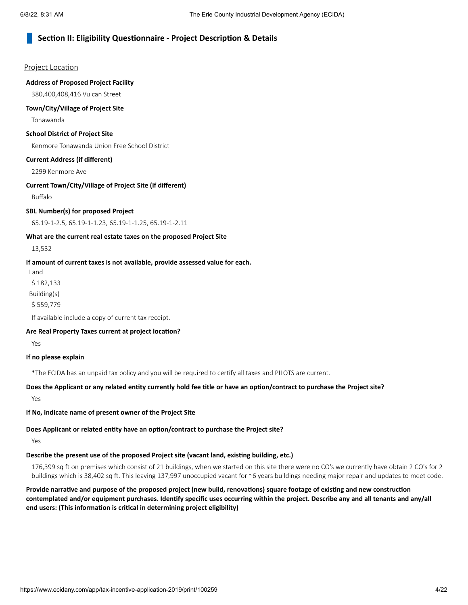## **Section II: Eligibility Questionnaire - Project Description & Details**

#### Project Location

#### **Address of Proposed Project Facility**

380,400,408,416 Vulcan Street

#### **Town/City/Village of Project Site**

Tonawanda

#### **School District of Project Site**

Kenmore Tonawanda Union Free School District

#### **Current Address (if different)**

2299 Kenmore Ave

#### **Current Town/City/Village of Project Site (if different)**

Buffalo

#### **SBL Number(s) for proposed Project**

65.19-1-2.5, 65.19-1-1.23, 65.19-1-1.25, 65.19-1-2.11

#### **What are the current real estate taxes on the proposed Project Site**

13,532

#### **If amount of current taxes is not available, provide assessed value for each.**

Land

\$ 182,133

Building(s)

\$ 559,779

If available include a copy of current tax receipt.

#### **Are Real Property Taxes current at project location?**

Yes

#### **If no please explain**

\*The ECIDA has an unpaid tax policy and you will be required to certify all taxes and PILOTS are current.

## Does the Applicant or any related entity currently hold fee title or have an option/contract to purchase the Project site?

Yes

**If No, indicate name of present owner of the Project Site**

## **Does Applicant or related entity have an option/contract to purchase the Project site?**

Yes

## **Describe the present use of the proposed Project site (vacant land, existing building, etc.)**

176,399 sq ft on premises which consist of 21 buildings, when we started on this site there were no CO's we currently have obtain 2 CO's for 2 buildings which is 38,402 sq ft. This leaving 137,997 unoccupied vacant for ~6 years buildings needing major repair and updates to meet code.

Provide narrative and purpose of the proposed project (new build, renovations) square footage of existing and new construction contemplated and/or equipment purchases. Identify specific uses occurring within the project. Describe any and all tenants and any/all **end users: (This information is critical in determining project eligibility)**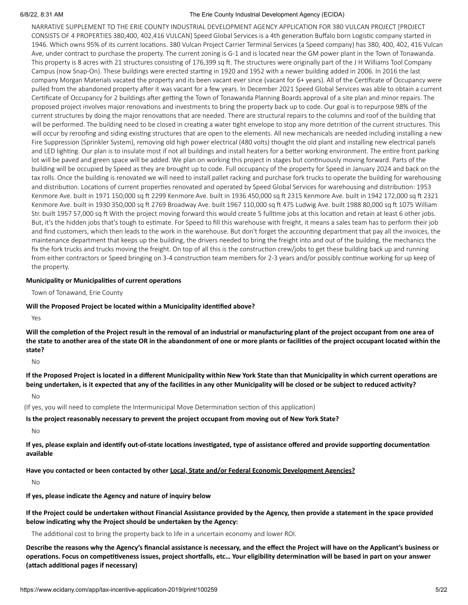NARRATIVE SUPPLEMENT TO THE ERIE COUNTY INDUSTRIAL DEVELOPMENT AGENCY APPLICATION FOR 380 VULCAN PROJECT [PROJECT CONSISTS OF 4 PROPERTIES 380,400, 402,416 VULCAN] Speed Global Services is a 4th generation Buffalo born Logistic company started in 1946. Which owns 95% of its current locations. 380 Vulcan Project Carrier Terminal Services (a Speed company) has 380, 400, 402, 416 Vulcan Ave, under contract to purchase the property. The current zoning is G-1 and is located near the GM power plant in the Town of Tonawanda. This property is 8 acres with 21 structures consisting of 176,399 sq ft. The structures were originally part of the J H Williams Tool Company Campus (now Snap-On). These buildings were erected starting in 1920 and 1952 with a newer building added in 2006. In 2016 the last company Morgan Materials vacated the property and its been vacant ever since (vacant for 6+ years). All of the Certificate of Occupancy were pulled from the abandoned property after it was vacant for a few years. In December 2021 Speed Global Services was able to obtain a current Certificate of Occupancy for 2 buildings after getting the Town of Tonawanda Planning Boards approval of a site plan and minor repairs. The proposed project involves major renovations and investments to bring the property back up to code. Our goal is to repurpose 98% of the current structures by doing the major renovations that are needed. There are structural repairs to the columns and roof of the building that will be performed. The building need to be closed in creating a water tight envelope to stop any more detrition of the current structures. This will occur by reroofing and siding existing structures that are open to the elements. All new mechanicals are needed including installing a new Fire Suppression (Sprinkler System), removing old high power electrical (480 volts) thought the old plant and installing new electrical panels and LED lighting. Our plan is to insulate most if not all buildings and install heaters for a better working environment. The entire front parking lot will be paved and green space will be added. We plan on working this project in stages but continuously moving forward. Parts of the building will be occupied by Speed as they are brought up to code. Full occupancy of the property for Speed in January 2024 and back on the tax rolls. Once the building is renovated we will need to install pallet racking and purchase fork trucks to operate the building for warehousing and distribution. Locations of current properties renovated and operated by Speed Global Services for warehousing and distribution: 1953 Kenmore Ave. built in 1971 150,000 sq ft 2299 Kenmore Ave. built in 1936 450,000 sq ft 2315 Kenmore Ave. built in 1942 172,000 sq ft 2321 Kenmore Ave. built in 1930 350,000 sq ft 2769 Broadway Ave. built 1967 110,000 sq ft 475 Ludwig Ave. built 1988 80,000 sq ft 1075 William Str. built 1957 57,000 sq ft With the project moving forward this would create 5 fulltime jobs at this location and retain at least 6 other jobs. But, it's the hidden jobs that's tough to estimate. For Speed to fill this warehouse with freight, it means a sales team has to perform their job and find customers, which then leads to the work in the warehouse. But don't forget the accounting department that pay all the invoices, the maintenance department that keeps up the building, the drivers needed to bring the freight into and out of the building, the mechanics the fix the fork trucks and trucks moving the freight. On top of all this is the construction crew/jobs to get these building back up and running from either contractors or Speed bringing on 3-4 construction team members for 2-3 years and/or possibly continue working for up keep of the property.

#### **Municipality or Municipalities of current operations**

Town of Tonawand, Erie County

#### **Will the Proposed Project be located within a Municipality identified above?**

Yes

Will the completion of the Project result in the removal of an industrial or manufacturing plant of the project occupant from one area of the state to another area of the state OR in the abandonment of one or more plants or facilities of the project occupant located within the **state?**

No

If the Proposed Project is located in a different Municipality within New York State than that Municipality in which current operations are being undertaken, is it expected that any of the facilities in any other Municipality will be closed or be subject to reduced activity?

No

(If yes, you will need to complete the Intermunicipal Move Determination section of this application)

#### **Is the project reasonably necessary to prevent the project occupant from moving out of New York State?**

No

If yes, please explain and identify out-of-state locations investigated, type of assistance offered and provide supporting documentation **available**

**Have you contacted or been contacted by other Local, State and/or Federal Economic Development Agencies?**

No

**If yes, please indicate the Agency and nature of inquiry below**

If the Project could be undertaken without Financial Assistance provided by the Agency, then provide a statement in the space provided **below indicating why the Project should be undertaken by the Agency:**

The additional cost to bring the property back to life in a uncertain economy and lower ROI.

Describe the reasons why the Agency's financial assistance is necessary, and the effect the Project will have on the Applicant's business or operations. Focus on competitiveness issues, project shortfalls, etc... Your eligibility determination will be based in part on your answer **(attach additional pages if necessary)**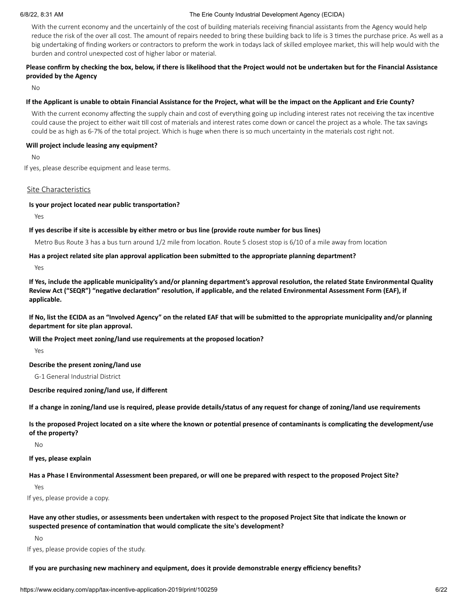With the current economy and the uncertainly of the cost of building materials receiving financial assistants from the Agency would help reduce the risk of the over all cost. The amount of repairs needed to bring these building back to life is 3 times the purchase price. As well as a big undertaking of finding workers or contractors to preform the work in todays lack of skilled employee market, this will help would with the burden and control unexpected cost of higher labor or material.

## Please confirm by checking the box, below, if there is likelihood that the Project would not be undertaken but for the Financial Assistance **provided by the Agency**

No

#### If the Applicant is unable to obtain Financial Assistance for the Project, what will be the impact on the Applicant and Erie County?

With the current economy affecting the supply chain and cost of everything going up including interest rates not receiving the tax incentive could cause the project to either wait till cost of materials and interest rates come down or cancel the project as a whole. The tax savings could be as high as 6-7% of the total project. Which is huge when there is so much uncertainty in the materials cost right not.

#### **Will project include leasing any equipment?**

No

If yes, please describe equipment and lease terms.

#### Site Characteristics

#### **Is your project located near public transportation?**

Yes

#### If yes describe if site is accessible by either metro or bus line (provide route number for bus lines)

Metro Bus Route 3 has a bus turn around 1/2 mile from location. Route 5 closest stop is 6/10 of a mile away from location

#### **Has a project related site plan approval application been submitted to the appropriate planning department?**

Yes

If Yes, include the applicable municipality's and/or planning department's approval resolution, the related State Environmental Quality Review Act ("SEQR") "negative declaration" resolution, if applicable, and the related Environmental Assessment Form (EAF), if **applicable.**

If No, list the ECIDA as an "Involved Agency" on the related EAF that will be submitted to the appropriate municipality and/or planning **department for site plan approval.**

**Will the Project meet zoning/land use requirements at the proposed location?**

Yes

#### **Describe the present zoning/land use**

G-1 General Industrial District

**Describe required zoning/land use, if different**

If a change in zoning/land use is required, please provide details/status of any request for change of zoning/land use requirements

Is the proposed Project located on a site where the known or potential presence of contaminants is complicating the development/use **of the property?**

No

#### **If yes, please explain**

Has a Phase I Environmental Assessment been prepared, or will one be prepared with respect to the proposed Project Site?

Yes

If yes, please provide a copy.

Have any other studies, or assessments been undertaken with respect to the proposed Project Site that indicate the known or **suspected presence of contamination that would complicate the site's development?**

No

If yes, please provide copies of the study.

**If you are purchasing new machinery and equipment, does it provide demonstrable energy efficiency benefits?**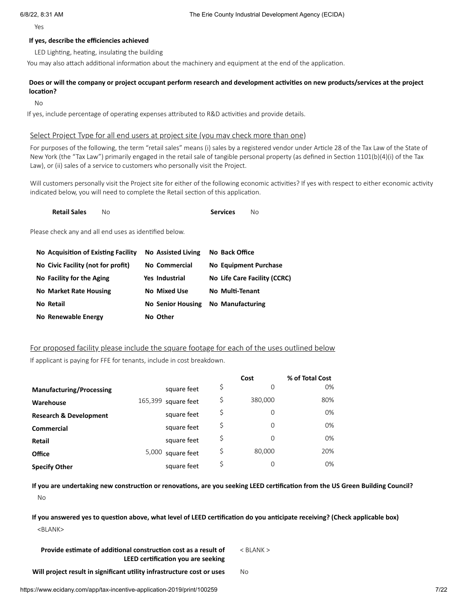Yes

#### **If yes, describe the efficiencies achieved**

LED Lighting, heating, insulating the building

You may also attach additional information about the machinery and equipment at the end of the application.

#### Does or will the company or project occupant perform research and development activities on new products/services at the project **location?**

No

If yes, include percentage of operating expenses attributed to R&D activities and provide details.

#### Select Project Type for all end users at project site (you may check more than one)

For purposes of the following, the term "retail sales" means (i) sales by a registered vendor under Article 28 of the Tax Law of the State of New York (the "Tax Law") primarily engaged in the retail sale of tangible personal property (as defined in Section 1101(b)(4)(i) of the Tax Law), or (ii) sales of a service to customers who personally visit the Project.

Will customers personally visit the Project site for either of the following economic activities? If yes with respect to either economic activity indicated below, you will need to complete the Retail section of this application.

| <b>Retail Sales</b> |  | <b>Services</b> | No. |
|---------------------|--|-----------------|-----|
|---------------------|--|-----------------|-----|

Please check any and all end uses as identified below.

| No Acquisition of Existing Facility | <b>No Assisted Living</b> | No Back Office               |
|-------------------------------------|---------------------------|------------------------------|
| No Civic Facility (not for profit)  | No Commercial             | No Equipment Purchase        |
| No Facility for the Aging           | Yes Industrial            | No Life Care Facility (CCRC) |
| <b>No Market Rate Housing</b>       | <b>No Mixed Use</b>       | No Multi-Tenant              |
| No Retail                           | <b>No Senior Housing</b>  | <b>No Manufacturing</b>      |
| No Renewable Energy                 | No Other                  |                              |

## For proposed facility please include the square footage for each of the uses outlined below

If applicant is paying for FFE for tenants, include in cost breakdown.

|                                   |                        | Cost          | % of Total Cost |
|-----------------------------------|------------------------|---------------|-----------------|
| <b>Manufacturing/Processing</b>   | square feet            | \$<br>0       | 0%              |
| Warehouse                         | 165,399<br>square feet | \$<br>380,000 | 80%             |
| <b>Research &amp; Development</b> | square feet            | \$<br>0       | 0%              |
| <b>Commercial</b>                 | square feet            | \$<br>0       | 0%              |
| Retail                            | square feet            | \$<br>0       | 0%              |
| <b>Office</b>                     | 5,000<br>square feet   | \$<br>80,000  | 20%             |
| <b>Specify Other</b>              | square feet            | \$<br>0       | 0%              |

If you are undertaking new construction or renovations, are you seeking LEED certification from the US Green Building Council? No

If you answered yes to question above, what level of LEED certification do you anticipate receiving? (Check applicable box) <BLANK>

**Provide estimate of additional construction cost as a result of LEED certification you are seeking** < BLANK >

**Will project result in significant utility infrastructure cost or uses** No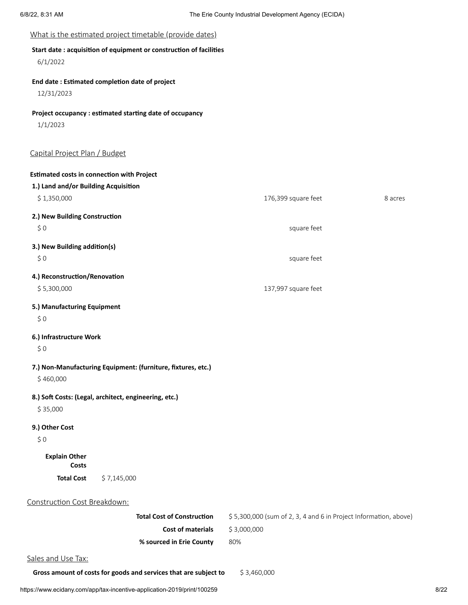## What is the estimated project timetable (provide dates)

## **Start date : acquisition of equipment or construction of facilities**

6/1/2022

## **End date : Estimated completion date of project**

12/31/2023

## **Project occupancy : estimated starting date of occupancy**

1/1/2023

## Capital Project Plan / Budget

| <b>Estimated costs in connection with Project</b> |                                                              |                                                                  |         |
|---------------------------------------------------|--------------------------------------------------------------|------------------------------------------------------------------|---------|
| 1.) Land and/or Building Acquisition              |                                                              |                                                                  |         |
| \$1,350,000                                       |                                                              | 176,399 square feet                                              | 8 acres |
| 2.) New Building Construction                     |                                                              |                                                                  |         |
| \$0                                               |                                                              | square feet                                                      |         |
| 3.) New Building addition(s)                      |                                                              |                                                                  |         |
| \$0                                               |                                                              | square feet                                                      |         |
| 4.) Reconstruction/Renovation                     |                                                              |                                                                  |         |
| \$5,300,000                                       |                                                              | 137,997 square feet                                              |         |
| 5.) Manufacturing Equipment                       |                                                              |                                                                  |         |
| \$0                                               |                                                              |                                                                  |         |
| 6.) Infrastructure Work                           |                                                              |                                                                  |         |
| \$0                                               |                                                              |                                                                  |         |
|                                                   | 7.) Non-Manufacturing Equipment: (furniture, fixtures, etc.) |                                                                  |         |
| \$460,000                                         |                                                              |                                                                  |         |
|                                                   | 8.) Soft Costs: (Legal, architect, engineering, etc.)        |                                                                  |         |
| \$35,000                                          |                                                              |                                                                  |         |
| 9.) Other Cost                                    |                                                              |                                                                  |         |
| \$0                                               |                                                              |                                                                  |         |
| <b>Explain Other</b><br>Costs                     |                                                              |                                                                  |         |
| <b>Total Cost</b>                                 | \$7,145,000                                                  |                                                                  |         |
| Construction Cost Breakdown:                      |                                                              |                                                                  |         |
|                                                   | <b>Total Cost of Construction</b>                            | \$5,300,000 (sum of 2, 3, 4 and 6 in Project Information, above) |         |
|                                                   | <b>Cost of materials</b>                                     | \$3,000,000                                                      |         |
|                                                   |                                                              |                                                                  |         |
|                                                   | % sourced in Erie County                                     | 80%                                                              |         |
| Sales and Use Tax:                                |                                                              |                                                                  |         |

**Gross amount of costs for goods and services that are subject to** \$ 3,460,000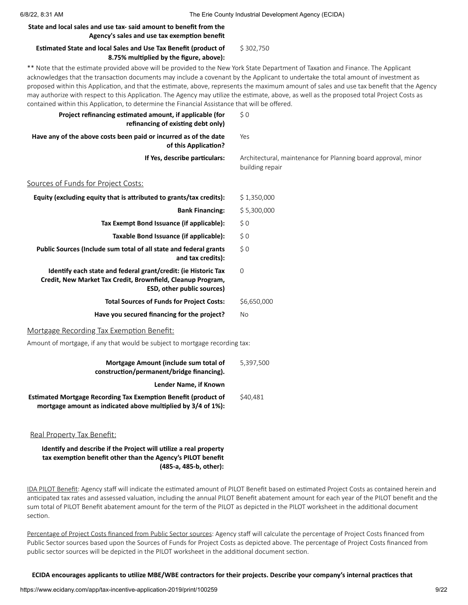#### **State and local sales and use tax- said amount to benefit from the Agency's sales and use tax exemption benefit**

#### **Estimated State and local Sales and Use Tax Benefit (product of 8.75% multiplied by the figure, above):** \$ 302,750

\*\* Note that the estimate provided above will be provided to the New York State Department of Taxation and Finance. The Applicant acknowledges that the transaction documents may include a covenant by the Applicant to undertake the total amount of investment as proposed within this Application, and that the estimate, above, represents the maximum amount of sales and use tax benefit that the Agency may authorize with respect to this Application. The Agency may utilize the estimate, above, as well as the proposed total Project Costs as contained within this Application, to determine the Financial Assistance that will be offered.

| Project refinancing estimated amount, if applicable (for<br>refinancing of existing debt only)                                                                     | \$0                                                                              |
|--------------------------------------------------------------------------------------------------------------------------------------------------------------------|----------------------------------------------------------------------------------|
| Have any of the above costs been paid or incurred as of the date<br>of this Application?                                                                           | Yes                                                                              |
| If Yes, describe particulars:                                                                                                                                      | Architectural, maintenance for Planning board approval, minor<br>building repair |
| Sources of Funds for Project Costs:                                                                                                                                |                                                                                  |
| Equity (excluding equity that is attributed to grants/tax credits):                                                                                                | \$1,350,000                                                                      |
| <b>Bank Financing:</b>                                                                                                                                             | \$5,300,000                                                                      |
| Tax Exempt Bond Issuance (if applicable):                                                                                                                          | \$0                                                                              |
| Taxable Bond Issuance (if applicable):                                                                                                                             | \$0                                                                              |
| Public Sources (Include sum total of all state and federal grants<br>and tax credits):                                                                             | \$0                                                                              |
| Identify each state and federal grant/credit: (ie Historic Tax<br>Credit, New Market Tax Credit, Brownfield, Cleanup Program,<br><b>ESD, other public sources)</b> | $\mathbf 0$                                                                      |
| <b>Total Sources of Funds for Project Costs:</b>                                                                                                                   | \$6,650,000                                                                      |
| Have you secured financing for the project?                                                                                                                        | No                                                                               |
| Mortgage Recording Tax Exemption Benefit:                                                                                                                          |                                                                                  |
| Amount of mortgage, if any that would be subject to mortgage recording tax:                                                                                        |                                                                                  |
| Mortgage Amount (include sum total of<br>construction/permanent/bridge financing).                                                                                 | 5,397,500                                                                        |
| Lender Name, if Known                                                                                                                                              |                                                                                  |
| <b>Estimated Mortgage Recording Tax Exemption Benefit (product of</b><br>mortgage amount as indicated above multiplied by 3/4 of 1%):                              | \$40,481                                                                         |

#### Real Property Tax Benefit:

**Identify and describe if the Project will utilize a real property tax exemption benefit other than the Agency's PILOT benefit (485-a, 485-b, other):**

IDA PILOT Benefit: Agency staff will indicate the estimated amount of PILOT Benefit based on estimated Project Costs as contained herein and anticipated tax rates and assessed valuation, including the annual PILOT Benefit abatement amount for each year of the PILOT benefit and the sum total of PILOT Benefit abatement amount for the term of the PILOT as depicted in the PILOT worksheet in the additional document section.

Percentage of Project Costs financed from Public Sector sources: Agency staff will calculate the percentage of Project Costs financed from Public Sector sources based upon the Sources of Funds for Project Costs as depicted above. The percentage of Project Costs financed from public sector sources will be depicted in the PILOT worksheet in the additional document section.

ECIDA encourages applicants to utilize MBE/WBE contractors for their projects. Describe your company's internal practices that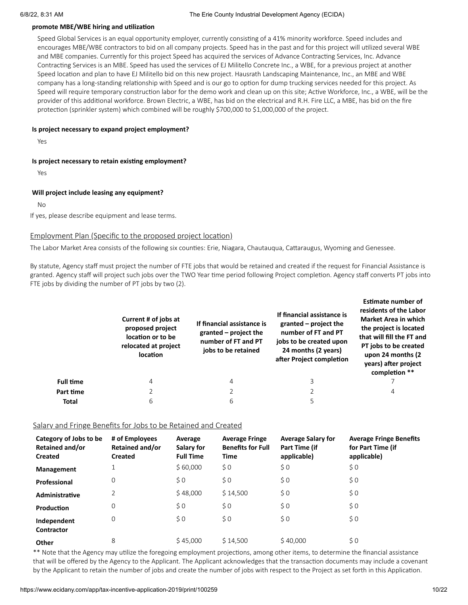#### **promote MBE/WBE hiring and utilization**

Speed Global Services is an equal opportunity employer, currently consisting of a 41% minority workforce. Speed includes and encourages MBE/WBE contractors to bid on all company projects. Speed has in the past and for this project will utilized several WBE and MBE companies. Currently for this project Speed has acquired the services of Advance Contracting Services, Inc. Advance Contracting Services is an MBE. Speed has used the services of EJ Militello Concrete Inc., a WBE, for a previous project at another Speed location and plan to have EJ Militello bid on this new project. Hausrath Landscaping Maintenance, Inc., an MBE and WBE company has a long-standing relationship with Speed and is our go to option for dump trucking services needed for this project. As Speed will require temporary construction labor for the demo work and clean up on this site; Active Workforce, Inc., a WBE, will be the provider of this additional workforce. Brown Electric, a WBE, has bid on the electrical and R.H. Fire LLC, a MBE, has bid on the fire protection (sprinkler system) which combined will be roughly \$700,000 to \$1,000,000 of the project.

#### **Is project necessary to expand project employment?**

Yes

#### **Is project necessary to retain existing employment?**

Yes

#### **Will project include leasing any equipment?**

 $N<sub>0</sub>$ 

If yes, please describe equipment and lease terms.

#### Employment Plan (Specific to the proposed project location)

The Labor Market Area consists of the following six counties: Erie, Niagara, Chautauqua, Cattaraugus, Wyoming and Genessee.

By statute, Agency staff must project the number of FTE jobs that would be retained and created if the request for Financial Assistance is granted. Agency staff will project such jobs over the TWO Year time period following Project completion. Agency staff converts PT jobs into FTE jobs by dividing the number of PT jobs by two (2).

|                  | Current # of jobs at<br>proposed project<br>location or to be<br>relocated at project<br>location | If financial assistance is<br>granted $-$ project the<br>number of FT and PT<br>jobs to be retained | If financial assistance is<br>granted $-$ project the<br>number of FT and PT<br>jobs to be created upon<br>24 months (2 years)<br>after Project completion | esumate number of<br>residents of the Labor<br><b>Market Area in which</b><br>the project is located<br>that will fill the FT and<br>PT jobs to be created<br>upon 24 months (2)<br>years) after project<br>completion ** |
|------------------|---------------------------------------------------------------------------------------------------|-----------------------------------------------------------------------------------------------------|------------------------------------------------------------------------------------------------------------------------------------------------------------|---------------------------------------------------------------------------------------------------------------------------------------------------------------------------------------------------------------------------|
| <b>Full time</b> | 4                                                                                                 | 4                                                                                                   | 3                                                                                                                                                          |                                                                                                                                                                                                                           |
| Part time        |                                                                                                   | $\overline{2}$                                                                                      |                                                                                                                                                            | 4                                                                                                                                                                                                                         |
| <b>Total</b>     | 6                                                                                                 | 6                                                                                                   | 5                                                                                                                                                          |                                                                                                                                                                                                                           |

#### Salary and Fringe Benefits for Jobs to be Retained and Created

| Category of Jobs to be<br><b>Retained and/or</b><br><b>Created</b> | # of Employees<br>Retained and/or<br><b>Created</b> | Average<br>Salary for<br><b>Full Time</b> | <b>Average Fringe</b><br><b>Benefits for Full</b><br><b>Time</b> | <b>Average Salary for</b><br>Part Time (if<br>applicable) | <b>Average Fringe Benefits</b><br>for Part Time (if<br>applicable) |
|--------------------------------------------------------------------|-----------------------------------------------------|-------------------------------------------|------------------------------------------------------------------|-----------------------------------------------------------|--------------------------------------------------------------------|
| Management                                                         |                                                     | \$60,000                                  | $\zeta$ 0                                                        | $\zeta$ 0                                                 | \$0                                                                |
| Professional                                                       | 0                                                   | \$0                                       | \$0                                                              | \$0                                                       | \$0                                                                |
| Administrative                                                     | 2                                                   | \$48,000                                  | \$14,500                                                         | \$0                                                       | \$0                                                                |
| Production                                                         | $\mathbf 0$                                         | \$0                                       | \$0                                                              | \$0                                                       | \$0                                                                |
| Independent<br><b>Contractor</b>                                   | 0                                                   | \$0                                       | \$0                                                              | \$0                                                       | \$0                                                                |
| Other                                                              | 8                                                   | \$45.000                                  | \$14.500                                                         | \$40,000                                                  | $\zeta$ 0                                                          |

\*\* Note that the Agency may utilize the foregoing employment projections, among other items, to determine the financial assistance that will be offered by the Agency to the Applicant. The Applicant acknowledges that the transaction documents may include a covenant by the Applicant to retain the number of jobs and create the number of jobs with respect to the Project as set forth in this Application.

**Estimate number of**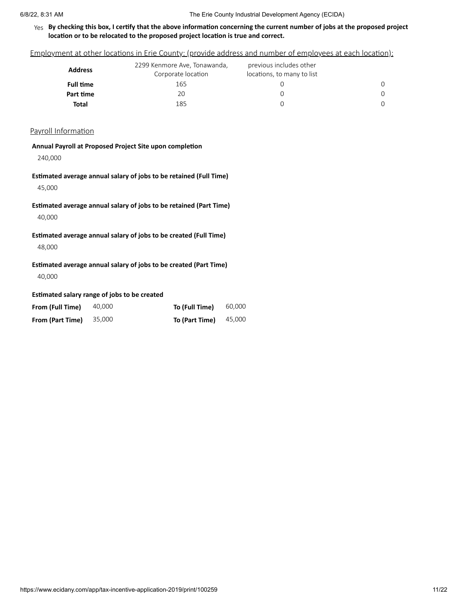#### Yes By checking this box, I certify that the above information concerning the current number of jobs at the proposed project **location or to be relocated to the proposed project location is true and correct.**

Employment at other locations in Erie County: (provide address and number of employees at each location):

| <b>Address</b>   | 2299 Kenmore Ave, Tonawanda,<br>Corporate location | previous includes other<br>locations, to many to list |  |
|------------------|----------------------------------------------------|-------------------------------------------------------|--|
| <b>Full time</b> | 165                                                |                                                       |  |
| Part time        | 20                                                 | Ω                                                     |  |
| Total            | 185                                                | Ω                                                     |  |

#### Payroll Information

#### **Annual Payroll at Proposed Project Site upon completion**

240,000

## **Estimated average annual salary of jobs to be retained (Full Time)**

45,000

**Estimated average annual salary of jobs to be retained (Part Time)**

40,000

## **Estimated average annual salary of jobs to be created (Full Time)** 48,000

## **Estimated average annual salary of jobs to be created (Part Time)**

40,000

#### **Estimated salary range of jobs to be created**

| From (Full Time) | 40.000 | To (Full Time) | 60,000 |
|------------------|--------|----------------|--------|
| From (Part Time) | 35.000 | To (Part Time) | 45,000 |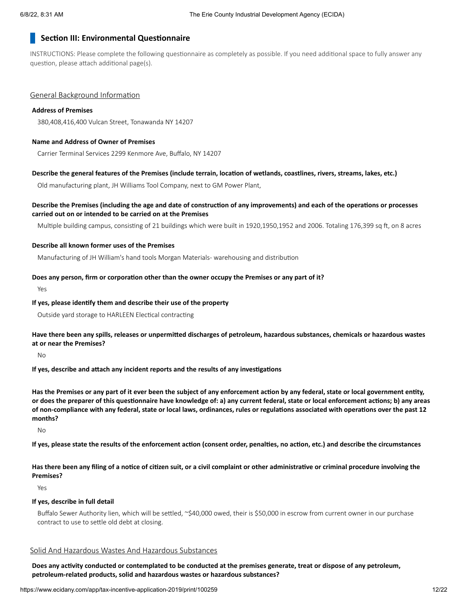#### **Section III: Environmental Questionnaire**

INSTRUCTIONS: Please complete the following questionnaire as completely as possible. If you need additional space to fully answer any question, please attach additional page(s).

#### General Background Information

#### **Address of Premises**

380,408,416,400 Vulcan Street, Tonawanda NY 14207

#### **Name and Address of Owner of Premises**

Carrier Terminal Services 2299 Kenmore Ave, Buffalo, NY 14207

#### Describe the general features of the Premises (include terrain, location of wetlands, coastlines, rivers, streams, lakes, etc.)

Old manufacturing plant, JH Williams Tool Company, next to GM Power Plant,

#### Describe the Premises (including the age and date of construction of any improvements) and each of the operations or processes **carried out on or intended to be carried on at the Premises**

Multiple building campus, consisting of 21 buildings which were built in 1920,1950,1952 and 2006. Totaling 176,399 sq ft, on 8 acres

#### **Describe all known former uses of the Premises**

Manufacturing of JH William's hand tools Morgan Materials- warehousing and distribution

#### **Does any person, firm or corporation other than the owner occupy the Premises or any part of it?**

Yes

#### **If yes, please identify them and describe their use of the property**

Outside yard storage to HARLEEN Electical contracting

#### Have there been any spills, releases or unpermitted discharges of petroleum, hazardous substances, chemicals or hazardous wastes **at or near the Premises?**

 $N<sub>0</sub>$ 

**If yes, describe and attach any incident reports and the results of any investigations**

Has the Premises or any part of it ever been the subject of any enforcement action by any federal, state or local government entity, or does the preparer of this questionnaire have knowledge of: a) any current federal, state or local enforcement actions; b) any areas of non-compliance with any federal, state or local laws, ordinances, rules or regulations associated with operations over the past 12 **months?**

No

If yes, please state the results of the enforcement action (consent order, penalties, no action, etc.) and describe the circumstances

Has there been any filing of a notice of citizen suit, or a civil complaint or other administrative or criminal procedure involving the **Premises?**

Yes

#### **If yes, describe in full detail**

Buffalo Sewer Authority lien, which will be settled, ~\$40,000 owed, their is \$50,000 in escrow from current owner in our purchase contract to use to settle old debt at closing.

#### Solid And Hazardous Wastes And Hazardous Substances

Does any activity conducted or contemplated to be conducted at the premises generate, treat or dispose of any petroleum, **petroleum-related products, solid and hazardous wastes or hazardous substances?**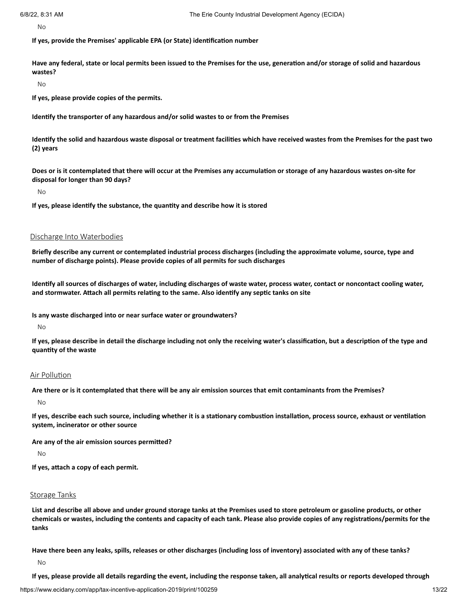No

**If yes, provide the Premises' applicable EPA (or State) identification number**

Have any federal, state or local permits been issued to the Premises for the use, generation and/or storage of solid and hazardous **wastes?**

No

**If yes, please provide copies of the permits.**

**Identify the transporter of any hazardous and/or solid wastes to or from the Premises**

Identify the solid and hazardous waste disposal or treatment facilities which have received wastes from the Premises for the past two **(2) years**

Does or is it contemplated that there will occur at the Premises any accumulation or storage of any hazardous wastes on-site for **disposal for longer than 90 days?**

No

**If yes, please identify the substance, the quantity and describe how it is stored**

#### Discharge Into Waterbodies

Briefly describe any current or contemplated industrial process discharges (including the approximate volume, source, type and **number of discharge points). Please provide copies of all permits for such discharges**

Identify all sources of discharges of water, including discharges of waste water, process water, contact or noncontact cooling water, **and stormwater. Attach all permits relating to the same. Also identify any septic tanks on site**

**Is any waste discharged into or near surface water or groundwaters?**

No

If yes, please describe in detail the discharge including not only the receiving water's classification, but a description of the type and **quantity of the waste**

#### Air Pollution

Are there or is it contemplated that there will be any air emission sources that emit contaminants from the Premises?

 $N<sub>0</sub>$ 

If yes, describe each such source, including whether it is a stationary combustion installation, process source, exhaust or ventilation **system, incinerator or other source**

**Are any of the air emission sources permitted?**

No

**If yes, attach a copy of each permit.**

#### Storage Tanks

List and describe all above and under ground storage tanks at the Premises used to store petroleum or gasoline products, or other chemicals or wastes, including the contents and capacity of each tank. Please also provide copies of any registrations/permits for the **tanks**

Have there been any leaks, spills, releases or other discharges (including loss of inventory) associated with any of these tanks?

No

If yes, please provide all details regarding the event, including the response taken, all analytical results or reports developed through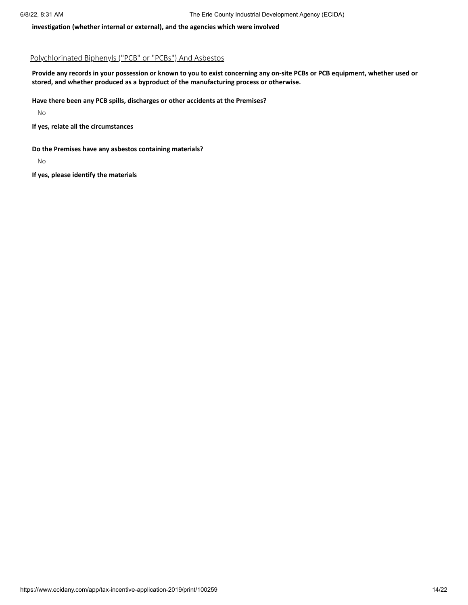**investigation (whether internal or external), and the agencies which were involved**

#### Polychlorinated Biphenyls ("PCB" or "PCBs") And Asbestos

Provide any records in your possession or known to you to exist concerning any on-site PCBs or PCB equipment, whether used or **stored, and whether produced as a byproduct of the manufacturing process or otherwise.**

**Have there been any PCB spills, discharges or other accidents at the Premises?**

No

**If yes, relate all the circumstances**

**Do the Premises have any asbestos containing materials?**

No

**If yes, please identify the materials**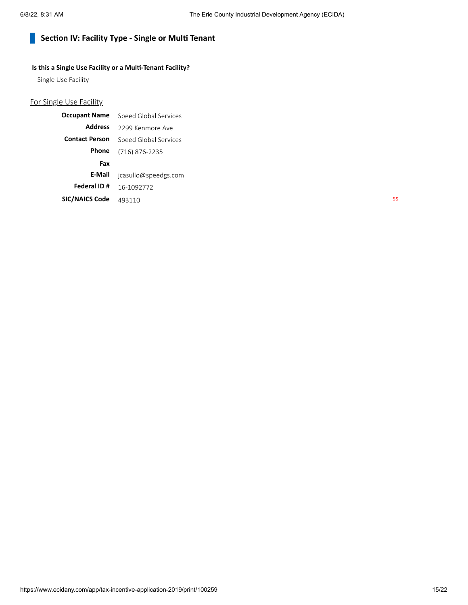#### **Section IV: Facility Type - Single or Multi Tenant**  $\mathbb{R}^n$

## **Is this a Single Use Facility or a Multi-Tenant Facility?**

Single Use Facility

## For Single Use Facility

| <b>Occupant Name</b>  | Speed Global Services |
|-----------------------|-----------------------|
| <b>Address</b>        | 2299 Kenmore Ave      |
| <b>Contact Person</b> | Speed Global Services |
| Phone                 | (716) 876-2235        |
| Fax                   |                       |
| E-Mail                | jcasullo@speedgs.com  |
| Federal ID#           | 16-1092772            |
| <b>SIC/NAICS Code</b> | 493110                |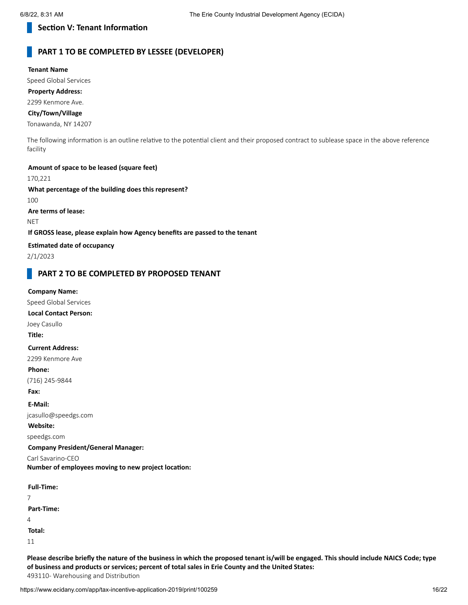## **Section V: Tenant Information**

## **PART 1 TO BE COMPLETED BY LESSEE (DEVELOPER)**

**Tenant Name** Speed Global Services **Property Address:** 2299 Kenmore Ave. **City/Town/Village** Tonawanda, NY 14207 The following information is an outline relative to the potential client and their proposed contract to sublease space in the above reference facility **Amount of space to be leased (square feet)** 170,221 **What percentage of the building does this represent?** 100 **Are terms of lease: NET If GROSS lease, please explain how Agency benefits are passed to the tenant Estimated date of occupancy**

2/1/2023

## **PART 2 TO BE COMPLETED BY PROPOSED TENANT**

#### **Company Name:**

Speed Global Services **Local Contact Person:**

Joey Casullo

**Title:**

#### **Current Address:**

2299 Kenmore Ave

#### **Phone:**

(716) 245-9844

**Fax:**

**E-Mail:**

jcasullo@speedgs.com

**Website:**

speedgs.com

**Company President/General Manager:**

Carl Savarino-CEO

**Number of employees moving to new project location:**

7 **Part-Time:**  $\overline{A}$ 

**Total:**

11

Please describe briefly the nature of the business in which the proposed tenant is/will be engaged. This should include NAICS Code; type **of business and products or services; percent of total sales in Erie County and the United States:**

493110- Warehousing and Distribution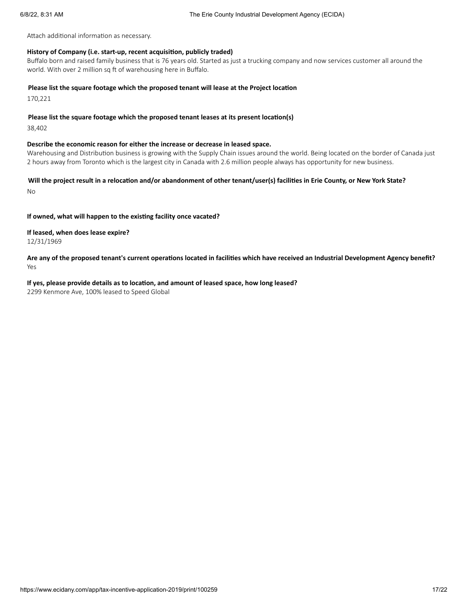Attach additional information as necessary.

#### **History of Company (i.e. start-up, recent acquisition, publicly traded)**

Buffalo born and raised family business that is 76 years old. Started as just a trucking company and now services customer all around the world. With over 2 million sq ft of warehousing here in Buffalo.

#### **Please list the square footage which the proposed tenant will lease at the Project location**

170,221

#### **Please list the square footage which the proposed tenant leases at its present location(s)**

38,402

#### **Describe the economic reason for either the increase or decrease in leased space.**

Warehousing and Distribution business is growing with the Supply Chain issues around the world. Being located on the border of Canada just 2 hours away from Toronto which is the largest city in Canada with 2.6 million people always has opportunity for new business.

## Will the project result in a relocation and/or abandonment of other tenant/user(s) facilities in Erie County, or New York State? No

#### **If owned, what will happen to the existing facility once vacated?**

# **If leased, when does lease expire?**

12/31/1969

Are any of the proposed tenant's current operations located in facilities which have received an Industrial Development Agency benefit? Yes

## **If yes, please provide details as to location, and amount of leased space, how long leased?**

2299 Kenmore Ave, 100% leased to Speed Global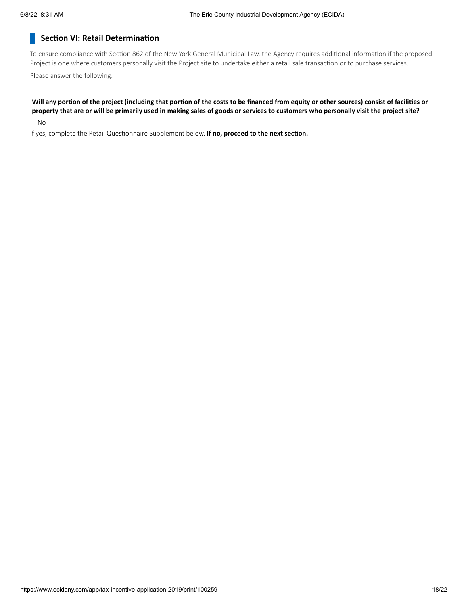## **Section VI: Retail Determination**

To ensure compliance with Section 862 of the New York General Municipal Law, the Agency requires additional information if the proposed Project is one where customers personally visit the Project site to undertake either a retail sale transaction or to purchase services.

Please answer the following:

## Will any portion of the project (including that portion of the costs to be financed from equity or other sources) consist of facilities or property that are or will be primarily used in making sales of goods or services to customers who personally visit the project site?

No

If yes, complete the Retail Questionnaire Supplement below. **If no, proceed to the next section.**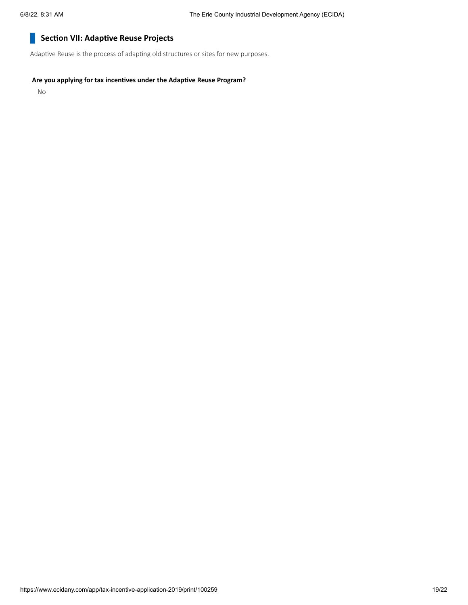#### **Section VII: Adaptive Reuse Projects** H.

Adaptive Reuse is the process of adapting old structures or sites for new purposes.

#### **Are you applying for tax incentives under the Adaptive Reuse Program?**

No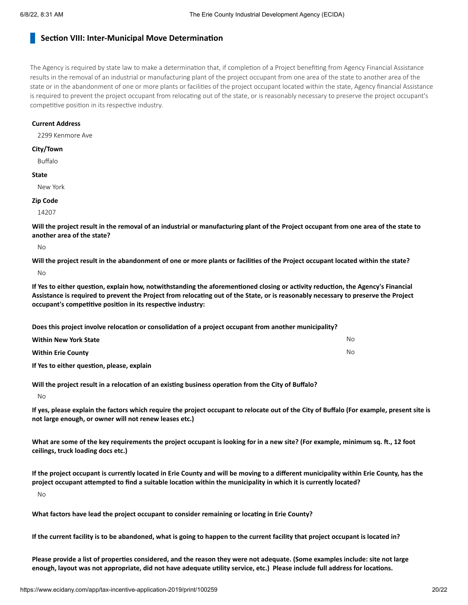## **Section VIII: Inter-Municipal Move Determination**

The Agency is required by state law to make a determination that, if completion of a Project benefiting from Agency Financial Assistance results in the removal of an industrial or manufacturing plant of the project occupant from one area of the state to another area of the state or in the abandonment of one or more plants or facilities of the project occupant located within the state, Agency financial Assistance is required to prevent the project occupant from relocating out of the state, or is reasonably necessary to preserve the project occupant's competitive position in its respective industry.

#### **Current Address**

2299 Kenmore Ave

#### **City/Town**

Buffalo

#### **State**

New York

#### **Zip Code**

14207

Will the project result in the removal of an industrial or manufacturing plant of the Project occupant from one area of the state to **another area of the state?**

 $N<sub>0</sub>$ 

Will the project result in the abandonment of one or more plants or facilities of the Project occupant located within the state? No

If Yes to either question, explain how, notwithstanding the aforementioned closing or activity reduction, the Agency's Financial Assistance is required to prevent the Project from relocating out of the State, or is reasonably necessary to preserve the Project **occupant's competitive position in its respective industry:**

**Does this project involve relocation or consolidation of a project occupant from another municipality?**

| <b>Within New York State</b>              | No. |
|-------------------------------------------|-----|
| <b>Within Erie County</b>                 | No. |
| $\sim$ $\sim$ $\sim$ $\sim$ $\sim$ $\sim$ |     |

**If Yes to either question, please, explain**

**Will the project result in a relocation of an existing business operation from the City of Buffalo?**

No

If yes, please explain the factors which require the project occupant to relocate out of the City of Buffalo (For example, present site is **not large enough, or owner will not renew leases etc.)**

What are some of the key requirements the project occupant is looking for in a new site? (For example, minimum sq. ft., 12 foot **ceilings, truck loading docs etc.)**

If the project occupant is currently located in Erie County and will be moving to a different municipality within Erie County, has the project occupant attempted to find a suitable location within the municipality in which it is currently located?

No

**What factors have lead the project occupant to consider remaining or locating in Erie County?**

If the current facility is to be abandoned, what is going to happen to the current facility that project occupant is located in?

Please provide a list of properties considered, and the reason they were not adequate. (Some examples include: site not large enough, layout was not appropriate, did not have adequate utility service, etc.) Please include full address for locations.